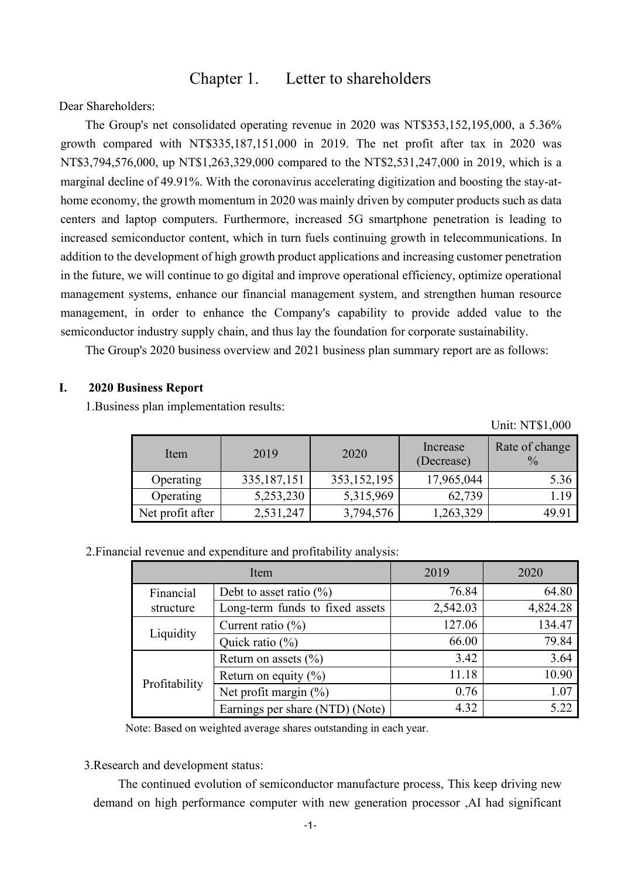## Chapter 1. Letter to shareholders

Dear Shareholders:

The Group's net consolidated operating revenue in 2020 was NT\$353,152,195,000, a 5.36% growth compared with NT\$335,187,151,000 in 2019. The net profit after tax in 2020 was NT\$3,794,576,000, up NT\$1,263,329,000 compared to the NT\$2,531,247,000 in 2019, which is a marginal decline of 49.91%. With the coronavirus accelerating digitization and boosting the stay-athome economy, the growth momentum in 2020 was mainly driven by computer products such as data centers and laptop computers. Furthermore, increased 5G smartphone penetration is leading to increased semiconductor content, which in turn fuels continuing growth in telecommunications. In addition to the development of high growth product applications and increasing customer penetration in the future, we will continue to go digital and improve operational efficiency, optimize operational management systems, enhance our financial management system, and strengthen human resource management, in order to enhance the Company's capability to provide added value to the semiconductor industry supply chain, and thus lay the foundation for corporate sustainability.

The Group's 2020 business overview and 2021 business plan summary report are as follows:

## **I. 2020 Business Report**

1.Business plan implementation results:

|  | Unit: NT\$1,000 |
|--|-----------------|
|--|-----------------|

| Item             | 2019          | 2020          | Increase<br>(Decrease) | Rate of change<br>$\frac{0}{0}$ |
|------------------|---------------|---------------|------------------------|---------------------------------|
| Operating        | 335, 187, 151 | 353, 152, 195 | 17,965,044             | 5.36                            |
| Operating        | 5,253,230     | 5,315,969     | 62,739                 | 1.19                            |
| Net profit after | 2,531,247     | 3,794,576     | 1,263,329              | 49.91                           |

2.Financial revenue and expenditure and profitability analysis:

|               | Item                            | 2019     | 2020     |
|---------------|---------------------------------|----------|----------|
| Financial     | Debt to asset ratio $(\% )$     | 76.84    | 64.80    |
| structure     | Long-term funds to fixed assets | 2,542.03 | 4,824.28 |
| Liquidity     | Current ratio $(\% )$           | 127.06   | 134.47   |
|               | Quick ratio $(\% )$             | 66.00    | 79.84    |
| Profitability | Return on assets $(\% )$        | 3.42     | 3.64     |
|               | Return on equity $(\% )$        | 11.18    | 10.90    |
|               | Net profit margin $(\%)$        | 0.76     | 1.07     |
|               | Earnings per share (NTD) (Note) | 4.32     | 5.22     |

Note: Based on weighted average shares outstanding in each year.

3.Research and development status:

The continued evolution of semiconductor manufacture process, This keep driving new demand on high performance computer with new generation processor ,AI had significant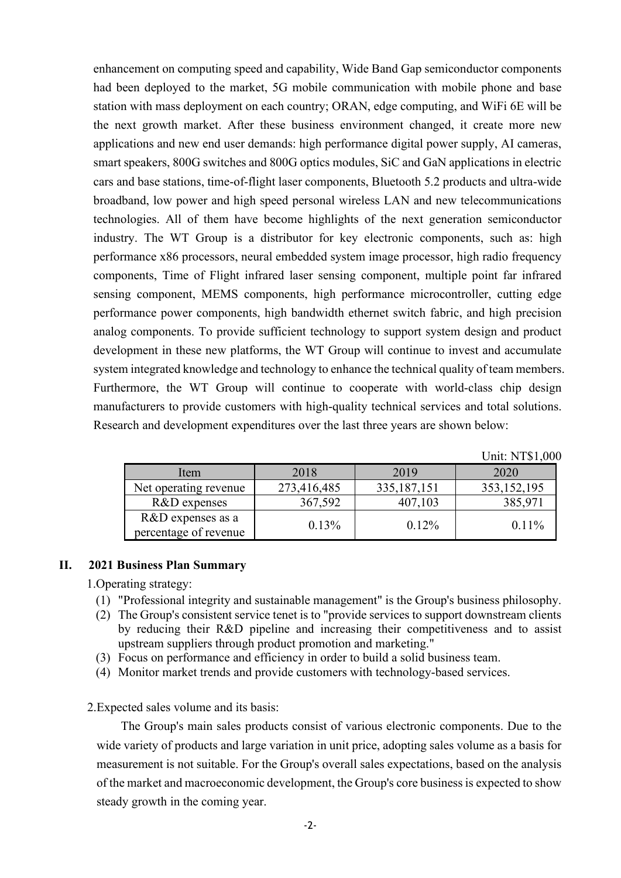enhancement on computing speed and capability, Wide Band Gap semiconductor components had been deployed to the market, 5G mobile communication with mobile phone and base station with mass deployment on each country; ORAN, edge computing, and WiFi 6E will be the next growth market. After these business environment changed, it create more new applications and new end user demands: high performance digital power supply, AI cameras, smart speakers, 800G switches and 800G optics modules, SiC and GaN applications in electric cars and base stations, time-of-flight laser components, Bluetooth 5.2 products and ultra-wide broadband, low power and high speed personal wireless LAN and new telecommunications technologies. All of them have become highlights of the next generation semiconductor industry. The WT Group is a distributor for key electronic components, such as: high performance x86 processors, neural embedded system image processor, high radio frequency components, Time of Flight infrared laser sensing component, multiple point far infrared sensing component, MEMS components, high performance microcontroller, cutting edge performance power components, high bandwidth ethernet switch fabric, and high precision analog components. To provide sufficient technology to support system design and product development in these new platforms, the WT Group will continue to invest and accumulate system integrated knowledge and technology to enhance the technical quality of team members. Furthermore, the WT Group will continue to cooperate with world-class chip design manufacturers to provide customers with high-quality technical services and total solutions. Research and development expenditures over the last three years are shown below:

|                                            |             |               | Unit: NT\$1,000 |
|--------------------------------------------|-------------|---------------|-----------------|
| Item                                       | 2018        | 2019          | 2020            |
| Net operating revenue                      | 273,416,485 | 335, 187, 151 | 353, 152, 195   |
| R&D expenses                               | 367,592     | 407,103       | 385,971         |
| R&D expenses as a<br>percentage of revenue | 0.13%       | $0.12\%$      | $0.11\%$        |

## **II. 2021 Business Plan Summary**

1.Operating strategy:

- (1) "Professional integrity and sustainable management" is the Group's business philosophy.
- (2) The Group's consistent service tenet is to "provide services to support downstream clients by reducing their R&D pipeline and increasing their competitiveness and to assist upstream suppliers through product promotion and marketing."
- (3) Focus on performance and efficiency in order to build a solid business team.
- (4) Monitor market trends and provide customers with technology-based services.
- 2.Expected sales volume and its basis:

The Group's main sales products consist of various electronic components. Due to the wide variety of products and large variation in unit price, adopting sales volume as a basis for measurement is not suitable. For the Group's overall sales expectations, based on the analysis of the market and macroeconomic development, the Group's core business is expected to show steady growth in the coming year.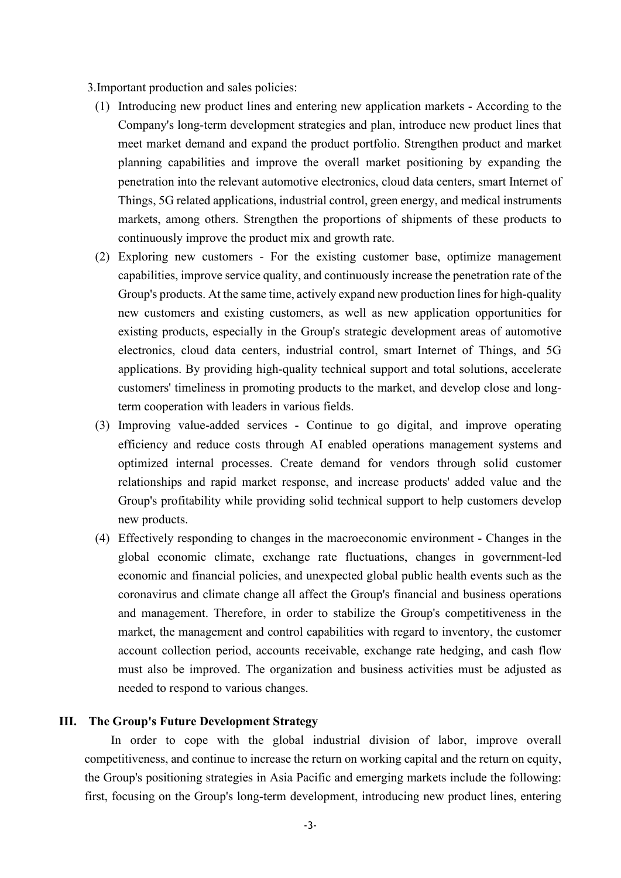3.Important production and sales policies:

- (1) Introducing new product lines and entering new application markets According to the Company's long-term development strategies and plan, introduce new product lines that meet market demand and expand the product portfolio. Strengthen product and market planning capabilities and improve the overall market positioning by expanding the penetration into the relevant automotive electronics, cloud data centers, smart Internet of Things, 5G related applications, industrial control, green energy, and medical instruments markets, among others. Strengthen the proportions of shipments of these products to continuously improve the product mix and growth rate.
- (2) Exploring new customers For the existing customer base, optimize management capabilities, improve service quality, and continuously increase the penetration rate of the Group's products. At the same time, actively expand new production lines for high-quality new customers and existing customers, as well as new application opportunities for existing products, especially in the Group's strategic development areas of automotive electronics, cloud data centers, industrial control, smart Internet of Things, and 5G applications. By providing high-quality technical support and total solutions, accelerate customers' timeliness in promoting products to the market, and develop close and longterm cooperation with leaders in various fields.
- (3) Improving value-added services Continue to go digital, and improve operating efficiency and reduce costs through AI enabled operations management systems and optimized internal processes. Create demand for vendors through solid customer relationships and rapid market response, and increase products' added value and the Group's profitability while providing solid technical support to help customers develop new products.
- (4) Effectively responding to changes in the macroeconomic environment Changes in the global economic climate, exchange rate fluctuations, changes in government-led economic and financial policies, and unexpected global public health events such as the coronavirus and climate change all affect the Group's financial and business operations and management. Therefore, in order to stabilize the Group's competitiveness in the market, the management and control capabilities with regard to inventory, the customer account collection period, accounts receivable, exchange rate hedging, and cash flow must also be improved. The organization and business activities must be adjusted as needed to respond to various changes.

## **III. The Group's Future Development Strategy**

In order to cope with the global industrial division of labor, improve overall competitiveness, and continue to increase the return on working capital and the return on equity, the Group's positioning strategies in Asia Pacific and emerging markets include the following: first, focusing on the Group's long-term development, introducing new product lines, entering